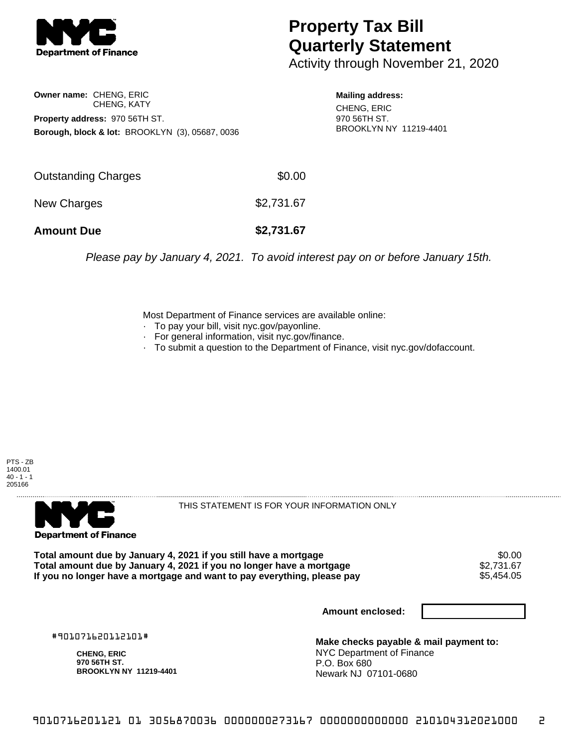

## **Property Tax Bill Quarterly Statement**

Activity through November 21, 2020

**Owner name:** CHENG, ERIC CHENG, KATY **Property address:** 970 56TH ST. **Borough, block & lot:** BROOKLYN (3), 05687, 0036

**Mailing address:** CHENG, ERIC 970 56TH ST. BROOKLYN NY 11219-4401

| <b>Amount Due</b>   | \$2,731.67 |
|---------------------|------------|
| New Charges         | \$2,731.67 |
| Outstanding Charges | \$0.00     |

Please pay by January 4, 2021. To avoid interest pay on or before January 15th.

Most Department of Finance services are available online:

- · To pay your bill, visit nyc.gov/payonline.
- For general information, visit nyc.gov/finance.
- · To submit a question to the Department of Finance, visit nyc.gov/dofaccount.





THIS STATEMENT IS FOR YOUR INFORMATION ONLY

Total amount due by January 4, 2021 if you still have a mortgage \$0.00<br>Total amount due by January 4, 2021 if you no longer have a mortgage \$2.731.67 **Total amount due by January 4, 2021 if you no longer have a mortgage**  $$2,731.67$ **<br>If you no longer have a mortgage and want to pay everything, please pay** If you no longer have a mortgage and want to pay everything, please pay

**Amount enclosed:**

#901071620112101#

**CHENG, ERIC 970 56TH ST. BROOKLYN NY 11219-4401**

**Make checks payable & mail payment to:** NYC Department of Finance P.O. Box 680 Newark NJ 07101-0680